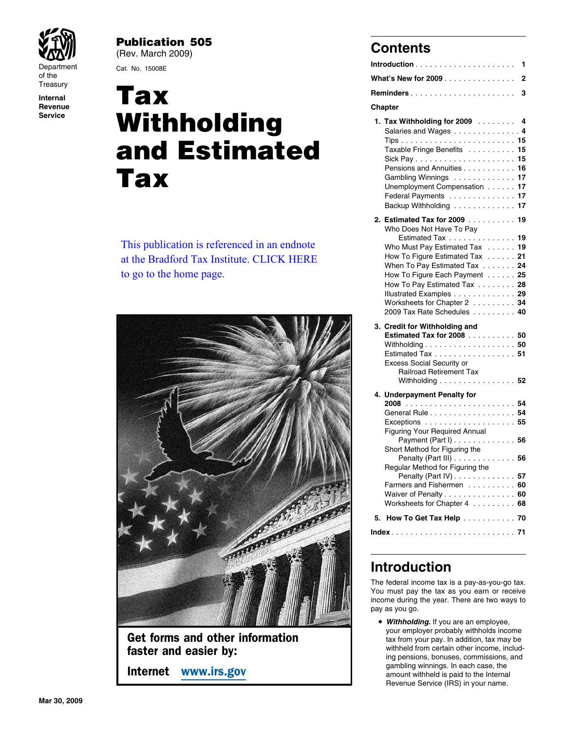

**Treasury** 

**Publication 505**<br>(Rev. March 2009)

# **Reminders** ...................... **<sup>3</sup> Internal Tax Revenue Chapter Service Withholding 1. Tax Withholding for 2009** ........ **<sup>4</sup> and Estimated Tax**



Get forms and other information

|                      | FUDIICALION JUJ<br>(Rev. March 2009)                                                                                 | <b>Contents</b>                                                                                                                                                                                                                                                                                                                                                                                                                                                                                                                                                                                    |
|----------------------|----------------------------------------------------------------------------------------------------------------------|----------------------------------------------------------------------------------------------------------------------------------------------------------------------------------------------------------------------------------------------------------------------------------------------------------------------------------------------------------------------------------------------------------------------------------------------------------------------------------------------------------------------------------------------------------------------------------------------------|
| Department           | Cat. No. 15008E                                                                                                      |                                                                                                                                                                                                                                                                                                                                                                                                                                                                                                                                                                                                    |
| of the               |                                                                                                                      | What's New for 2009 2                                                                                                                                                                                                                                                                                                                                                                                                                                                                                                                                                                              |
| Treasury<br>Internal | <b>Tax</b>                                                                                                           |                                                                                                                                                                                                                                                                                                                                                                                                                                                                                                                                                                                                    |
| Revenue              |                                                                                                                      | Chapter                                                                                                                                                                                                                                                                                                                                                                                                                                                                                                                                                                                            |
| Service              | Withholding<br>and Estimated<br><b>Tax</b>                                                                           | 1. Tax Withholding for 2009 $\ldots \ldots$ 4<br>Salaries and Wages 4<br>Taxable Fringe Benefits 15<br>Pensions and Annuities 16<br>Gambling Winnings 17<br>Unemployment Compensation 17<br>Federal Payments 17<br>Backup Withholding 17                                                                                                                                                                                                                                                                                                                                                           |
|                      | This publication is referenced in an endnote<br>at the Bradford Tax Institute. CLICK HERE<br>to go to the home page. | 2. Estimated Tax for 2009 19<br>Who Does Not Have To Pay<br>Estimated Tax 19<br>Who Must Pay Estimated Tax 19<br>How To Figure Estimated Tax 21<br>When To Pay Estimated Tax 24<br>How To Figure Each Payment 25<br>How To Pay Estimated Tax 28<br>Illustrated Examples 29<br>Worksheets for Chapter 2 34<br>2009 Tax Rate Schedules 40                                                                                                                                                                                                                                                            |
|                      |                                                                                                                      | 3. Credit for Withholding and<br>Estimated Tax for 2008 50<br>Estimated Tax 51<br><b>Excess Social Security or</b><br><b>Railroad Retirement Tax</b><br>Withholding 52<br>4. Underpayment Penalty for<br>General Rule 54<br>Exceptions $\ldots \ldots \ldots \ldots \ldots \ldots 55$<br><b>Figuring Your Required Annual</b><br>Payment (Part I) 56<br>Short Method for Figuring the<br>Penalty (Part III) 56<br>Regular Method for Figuring the<br>Penalty (Part IV) 57<br>Farmers and Fishermen 60<br>Waiver of Penalty 60<br>Worksheets for Chapter 4 68<br>5. How To Get Tax Help 70<br>Index |

## **Introduction**

The federal income tax is a pay-as-you-go tax. You must pay the tax as you earn or receive income during the year. There are two ways to pay as you go.

• *Withholding.* If you are an employee, your employer probably withholds income<br>tax from your pay. In addition, tax may be **faster and easier by:** withheld from certain other income, includ-<br> **faster and easier by:** in the state of the state of the state of the state of the state of the state of the state of the state of the state of the state Internet www.irs.gov and Internet www.irs.gov amount withheld is paid to the Internal Revenue Service (IRS) in your name.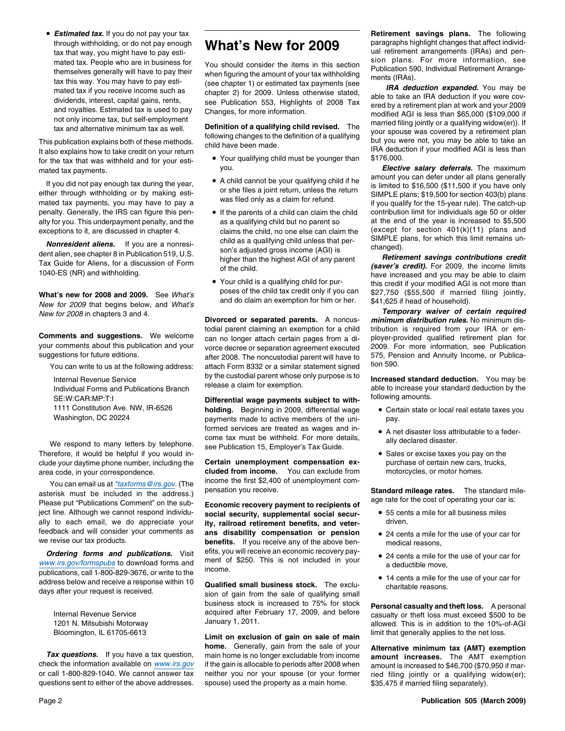• Estimated tax. If you do not pay your tax mated tax. People who are in business for<br>themselves generally will have to pay their<br>tax this way. You may have to pay their<br>tax this way. You may have to pay esti-<br>(see chapter 1) or estimated tax payments (see

It also explains how to take credit on your return<br>for the tax that was withheld and for your esti-<br>wou. wou. Flecting child must be younger than \$176,000.

**Nonresident aliens.** If you are a nonresi-<br>dent alien, see chapter 8 in Publication 519, U.S.<br>Tax Guide for Aliens, for a discussion of Form into the child.<br>1040-ES (NR) and withholding.<br>1040-ES (NR) and withholding.<br>1040

What's new for 2008 and 2009. See What's poses of the child tax credit only if you can \$27,750 (\$55,500 if married filing jointly,<br>New for 2009 that begins below, and What's and do claim an exemption for him or her. \$41,6

**Comments and suggestions.** We welcome<br>your comments about this publication and your<br>your comments about this publication and your<br>your edecree or separation agreement executed 2009. For more information, see Publication your comments about this publication and your<br>
after 2008. The noncustodial parent will have to 575, Pension and Annuity Income, or Publica-<br>
after 2008. The noncustodial parent will have to 575, Pension and Annuity Income

SE:W:CAR:MP:T:I **Differential wage payments subject to with-** <sup>following amounts.<br>1111 Constitution Ave. NW, IR-6526 **holding** Beginning in 2009 differential wage **Certain state of**</sup>

ome tax must be withheld. For more details,<br>We respond to many letters by telephone.<br>Therefore, it would be helpful if you would in-<br>Therefore, it would be helpful if you would in-<br>Sales or excise taxes you pay on the clude your daytime phone number, including the **Certain unemployment compensation ex-** purchase of certain new cars, trucks,<br>area code, in your correspondence. **cluded from income.** You can exclude from motorcycles, or mot

You can email us at *\*taxforms@irs.gov*. (The income the first \$2,400 of unemployment com-<br>asterisk must be included in the address.) pensation you receive. **Standard mileage rates.** The standard mile-<br>Please put "Publicat

 $\frac{www.irs.gov/formspubs}{14}$  cents a mile for the use of your car for ment of \$250. This is not included in your a deductible move,<br>
a deductible move,<br>
a deductible move,<br>
a deductible move,<br>
a deductible move,<br>
a deductible move,<br>

- Your qualifying child must be younger than
- 
- 
- Your child is a qualifying child for pur-

todial parent claiming an exemption for a child tribution is required from your IRA or emafter 2008. The noncustodial parent will have to 575, Persion and Annual Library Income, or Publica-You can write to us at the following address: attach Form 8332 or a similar statement signed

1111 Constitution Ave. NW, IR-6526 **holding.** Beginning in 2009, differential wage • Certain state or local real estate taxes you<br>Washington, DC 20224 **holding** payments made to active members of the unipayments made to active members of the uni- pay. formed services are treated as wages and in-

area code, in your correspondence.<br>**cluded from income.** You can exclude from motorcycles, or motor motor motor the first \$2,400 of unemployment com-

ject line. Although we cannot respond individu-<br>ally to each email, we do appreciate your **ity railroad retirement benefits, and veter-** driven, ally to each email, we do appreciate your ity, railroad retirement benefits, and veter-<br>feedback and will consider your comments as ans disability compensation or pension ans disability compensation or pension • 24 cents a mile for the use of your car for we revise our tax products.<br> **benefits.** If you receive any of the above ben-<br> **Crdoring forms** and publications Visit effts, you will receive an economic recovery pay-Ordering forms and publications. Visit effits, you will receive an economic recovery pay-<br>Any ire gov/formenube to download forms and ment of \$250. This is not included in your • 24 cents a mile for the use of your car for

address below and receive a response within 10 **Qualified small business stock.** The exclu-<br>days after your request is received. <br>sion of gain from the sale of qualifying small business stock is increased to 75% for stock **Personal casualty and theft loss.** A personal

Bloomington, IL 61705-6613 **Limit on exclusion of gain on sale of main** limit that generally applies to the net loss. **home.** Generally, gain from the sale of your<br>**Tax questions.** If you have a tax question, main home is no longer excludable from income **amount increases.** The AMT exemption<br>check the information available on www.irs.gov check the information available on *www.irs.gov* if the gain is allocable to periods after 2008 when amount is increased to \$46,700 (\$70,950 if mar-<br>or call 1-800-829-1040. We cannot answer tax neither you nor your spouse or call 1-800-829-1040. We cannot answer tax neither you nor your spouse (or your former ried filing jointly or a qualifying widow(er);<br>questions sent to either of the above addresses. spouse) used the property as a main h spouse) used the property as a main home. \$35,475 if married filing separately).

**Retirement savings plans.** The following through withholding, or do not pay enough **What's New for 2009** paragraphs highlight changes that affect individ-<br>tax that way, you might have to pay estiual retirement arrangements (IRAs) and pen-<br>sion plans. For more information, see

mated tax if you receive income such as<br>dividends, interest, capital gains, rents,<br>and royalties. Estimated tax is used to pay<br>and royalties. Estimated tax is used to pay<br>and royalties. Estimated tax is used to pay<br>and roy

mated tax payments. you. *Elective salary deferrals.* The maximum • A child cannot be your qualifying child if he amount you can defer under all plans generally If you did not pay enough tax during the year,<br>
either through withholding or by making esti-<br>
either through withholding or by making esti-<br>
was filed only as a claim for refund.<br>
Was filed only as a claim for refund.<br>
W mated tax payments, you may have to pay a was filed only as a claim for refund. if you qualify for the 15-year rule). The catch-up<br>penalty. Generally, the IRS can figure this pen-<br>of the parents of a child can claim the ch • If the parents of a child can claim the child contribution limit for individuals age 50 or older alty for you. This underpayment penalty, and the as a qualifying child but no parent so at the end of the year is increased to \$5,500 exceptions to it, are discussed in chapter 4. claims the child, no one else can claim the (except for section 401(k)(11) plans and<br>child as a qualifying child unless that per-<br>claims for which this limit remains un-

France shine.<br>Your child is a qualifying child for pur-<br>poses of the child tax credit only if you can<br>spring (\$55,500) if married filing jointly.

New for 2008 *Temporary waiver of certain required* in chapters 3 and 4. **Divorced or separated parents.** A noncus- *minimum distribution rules.* No minimum dis-

by the custodial parent whose only purpose is to<br>Increased standard deduction. You may be<br>Individual Forms and Publications Branch release a claim for exemption. able to increase your standard deduction by the

- 
- A net disaster loss attributable to a feder-
- 

- 
- 
- 
- 

Internal Revenue Service **acquired after February 17, 2009, and before** casualty or theft loss must exceed \$500 to be<br>1201 N. Mitsubishi Motorway **being a strugglery** 1, 2011. This is in addition to the 10%-of-AGI allowed. This is in addition to the 10%-of-AGI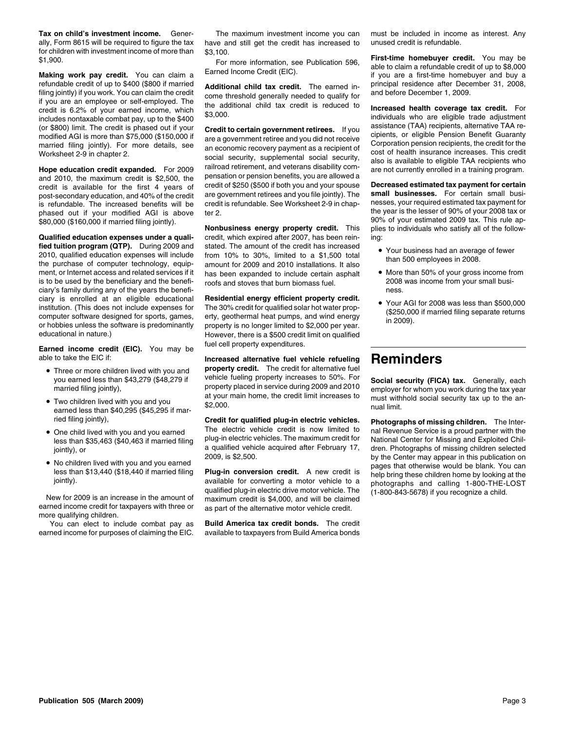ally, Form 8615 will be required to figure the tax have and still get the credit has increased to unused credit is refundable.<br>for children with investment income of more than \$3.100.

refundable credit of up to \$400 (\$800 if married **Additional child tax credit.** The earned in-<br>**filing jointly)** if you work. You can claim the credit come threshold generally needed to qualify for and before December 1, 2 filing jointly) if you work. You can claim the credit<br>
if you are an employee or self-employed. The<br>
credit is 6.2% of your earned income, which<br>
includes nontaxable combat pay, up to the \$400<br>
includes nontaxable combat p

credit is available for the first 4 years of credit of \$250 (\$500 if both you and your spouse **Decreased estimated tax payment for certain**<br>post-secondary education, and 40% of the credit are government retirees and you fi post-secondary education, and 40% of the credit are government retirees and you file jointly). The **small businesses.** For certain small busi-<br>is refundable. The increased benefits will be credit is refundable. See Workshe is refundable. The increased benefits will be credit is refundable. See Worksheet 2-9 in chap- nesses, your required estimated tax payment for<br>phased out if your modified AGL is above ter 2.

**Qualified education expenses under a quali-** credit, which expired after 2007, has been rein- ing: **fied tuition program (QTP).** During 2009 and stated. The amount of the credit has increased • Your business had an average of fewer 2010, qualified education expenses will include from 10% to 30%, limited to a \$1,500 tota 2010, qualified education expenses will include from 10% to 30%, limited to a \$1,500 total<br>the purchase of computer technology, equip-<br>amount for 2009 and 2010 installations. It also ment, or Internet access and related services if it has been expanded to include certain asphalt • More than 50% of your gross income from<br>is to be used by the beneficiary and the benefi-<br>roofs and stoves that burn biomass ciary's family during any of the years the benefi- ness. The state of the state of the years the beneficiary is enrolled at an eligible educational **Residential energy efficient property credit.**<br>institution. (This does not include expenses for The 30% credit for qualified solar hot water propinstitution. (This does not include expenses for The 30% credit for qualified solar hot water prop-<br>computer software designed for sports, games, erty, geothermal heat pumps, and wind energy (\$250,000 if married filing sep educational in nature.) However, there is a \$500 credit limit on qualified

fuel cell property expenditures. **Earned income credit (EIC).** You may be

- 
- earned less than \$40,295 (\$45,295 if mar-
- One child lived with you and you earned
- 

earned income credit for taxpayers with three or as part of the alternative motor vehicle credit. more qualifying children.

earned income for purposes of claiming the EIC. available to taxpayers from Build America bonds

**Tax on child's investment income.** Gener- The maximum investment income you can must be included in income as interest. Any

social security, supplemental social security, also is available to eligible TAA recipients who<br> **Hope education credit expanded.** For 2009 railroad retirement, and veterans disability com-<br>
and 2010, the maximum credit is

Nonbusiness energy property credit. This plies to individuals who satisfy all of the followroofs and stoves that burn biomass fuel.

able to take the EIC if: **Increased alternative fuel vehicle refueling Reminders** • Three or more children lived with you and **property credit.** The credit for alternative fuel The value of more children increases to 50%. For **Social security (FICA) tax.** Generally, each you earned less than \$43,279 (\$48,279 if vehicle fueling property increases to 50%. For **Social security (FICA) tax.** Generally

ried filing jointly), **Credit for qualified plug-in electric vehicles. Photographs of missing children.** The Inter- One child lived with you and you earned The electric vehicle credit is now limited to nal Revenue Service is a proud partner with the less than \$35,463 (\$40,463 if married filing plug-in electric vehicles. The maximum cred jointly), or a  $(17, 2009)$  a qualified vehicle acquired after February 17, and missing children selected is \$2.500.

You can elect to include combat pay as **Build America tax credit bonds.** The credit

for children with investment income of more than \$3,100.<br>For more information, see Publication 596, First-time homebuyer credit. You may be<br>Making work pay credit. You can claim a claima and acarned Income Credit (EIC). Ma

phased out if your modified AGI is above ter 2.<br>\$80,000 (\$160,000 if married filing jointly).

- 
- 
- 

married filing jointly), property placed in service during 2009 and 2010 employer for whom you work during the tax year<br>• Two children lived with you and you at your main home, the credit limit increases to must withhold s

National Center for Missing and Exploited Chil-<br>dren. Photographs of missing children selected 2009, is \$2,500. by the Center may appear in this publication on<br>No children lived with you and you earned<br>pages that otherwise would be blank. You can • No children lived with you and you earned<br>less than \$13,440 (\$18,440 if married filing<br>jointly).<br>New for 2009 is an increase in the amount of maximum credit is \$4,000, and will be claimed<br>network the children home by loo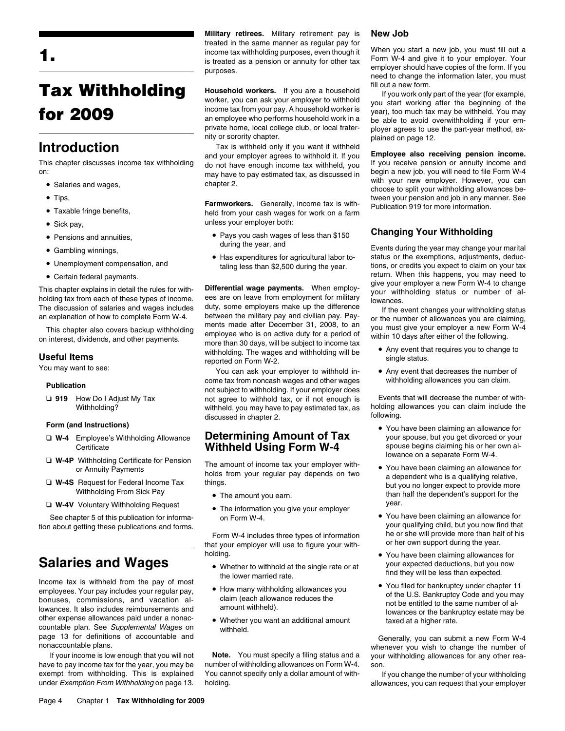- 
- Tips,
- 
- Sick pay,
- Pensions and annuities,
- Gambling winnings,
- Unemployment compensation, and
- 

### **Form (and Instructions)** •

- 
- 
- 
- □ W-4V Voluntary Withholding Request

Income tax is withheld from the pay of most<br>employees. Your pay includes your requiar pay. • How many withholding allowances you exand to mercial term interests to the term in the pay of most with examployees. Your pay includes your regular pay,<br>
bonuses, commissions, and vacation al-<br>
lowances the U.S. Bankruptcy Code and you may<br>
of the U.S. Bankr of the expense allowances paid under a nonac-<br>
countable plan. See Supplemental Wages on withheld.<br>
page 13 for definitions of accountable and<br>
page 13 for definitions of accountable and

have to pay income tax for the year, you may be number of withholding allowances on Form W-4. son. exempt from withholding. This is explained You cannot specify only a dollar amount of with-<br>under Exemption From Withholding on page 13. holding.<br>allowances, you can request that your employer

**Military retirees.** Military retirement pay is **New Job** treated in the same manner as regular pay for<br>income tax withholding purposes, even though it<br>is treated as a pension or annuity for other tax<br>purposes.<br>purposes.<br>purposes.<br>purposes.<br>purposes.<br>purposes.

Tax Withholding Household workers. If you are a household fill out a new form.<br>
worker, you can ask your employer to withhold you start working after the beginning of the<br>
income tax from your pay. A household worker is<br>
a nity or sorority chapter. The plained on page 12.

**Introduction**<br>and your employer agrees to withhold it. If you This chapter discusses income tax withholding do not have enough income tax withheld, you If you receive pension or annuity income and on:<br>If you receive pension or annuity income and do not have to nay estimated tax as di may have to pay estimated tax, as discussed in

> held from your cash wages for work on a farm unless your employer both: •

- Pensions and annuities,  **Pays you cash wages of less than \$150 Changing Your Withholding** during the year, and **Events during the year may change your marital**  $\blacksquare$ 
	-

The discussion of salaries and wages includes duty, some employers make up the difference<br>an explanation of how to complete Form W-4. between the military pay and civilian pay. Pay-<br>This chapter also covers backup withhold withholding. The wages and withholding will be  $\bullet$  Any event that requires you to change to single status. Useful Items<br>
You may want to see: The way want of The Way want to see:<br>
You can ask your employer to withhold in-<br>
You may want to see:<br>
You can ask your employer to withhold in-<br>
Pany event that decreases the number of

**Publication**<br> **Publication**<br> **Publication** allowances you can claim.<br> **Publication Publication** not subject to withholding. If your employer does<br> **Publication Publication Publication Publication Publication** not agree to withhold tax, or if not enough is Livents that will decrease the number of with-<br>withheld, you may haye to pay estimated tax, as Livelling allowances you can claim include the Withholding? withheld, you may have to pay estimated tax, as holding a<br>discussed in chanter 2 discussed in chapter 2.

- 
- The information you give your employer

Form W-4 includes three types of information he or she will provide more than half or than half of his or her own support during the year. that your employer will use to figure your with-

- 
- 
- 

**Employee also receiving pension income.**<br>If you receive pension or annuity income and with your new employer. However, you can • C put the service way of the service way to the service with your new employer. However, you can • Salaries and wages, • Chapter 2. choose to split your withholding allowances be-Tips, tween your pension and job in any manner. See<br>**Farmworkers.** Generally, income tax is with-<br>**Faxable fringe benefits,** held from your cash wages for work on a farm<br>**Faxable fringe benefits,** held from your cash wages

• Has expenditures for agricultural labor to- status or the exemptions, adjustments, deduc taling less than \$2,500 during the year. tions, or credits you expect to claim on your tax • Certain federal payments. The state of the state of the end of the end of the end of the end of the end of the end of the end of the end of the end of the end of the end of the end of the end of the end of the end of the This chapter explains in detail the rules for with-<br> **Differential wage payments.** When employ-<br>
Men employ-<br>
Men employer a new Form W-4 to change<br>
your withholding status or number of al-<br>
holding tax from each of these

- 
- 

- You have been claiming an allowance for ❏ **W-4** Employee's Withholding Allowance **Determining Amount of Tax** your spouse, but you get divorced or your Certificate **Withheld Using Form W-4** spouse begins claiming his or her own al-<br>International sparate Form W-4.
- W-4P Withholding Certificate for Pension<br>
or Annuity Payments<br>
or Annuity Payments<br>
The amount of income tax your employer with-<br>
or Annuity Payments<br>
or Annuity Payments<br>
or Annuity Payments<br>
or Annuity Payments<br>
or An • The amount you earn. than half the dependent's support for the vear.
- See chapter 5 of this publication for informa-<br>See chapter 5 of this publications and forms on Form W-4.<br>about gualifying child, but you now find that your qualifying child, but you now find that<br>Form W-4 includes three types of information be or she will provide more than half of his
- **Salaries and Wages**<br>
<sup>holding.</sup> Whether to withhold at the single rate or at your expected deductions, but you now<br>
the lower married rate.<br>
the lower married rate.
	-

page 13 for definitions of accountable and<br>nonaccountable plans.<br>If your income is low enough that you will not **Note.** You must specify a filing status and a your withholding allowances for any other reayour withholding allowances for any other rea-

allowances, you can request that your employer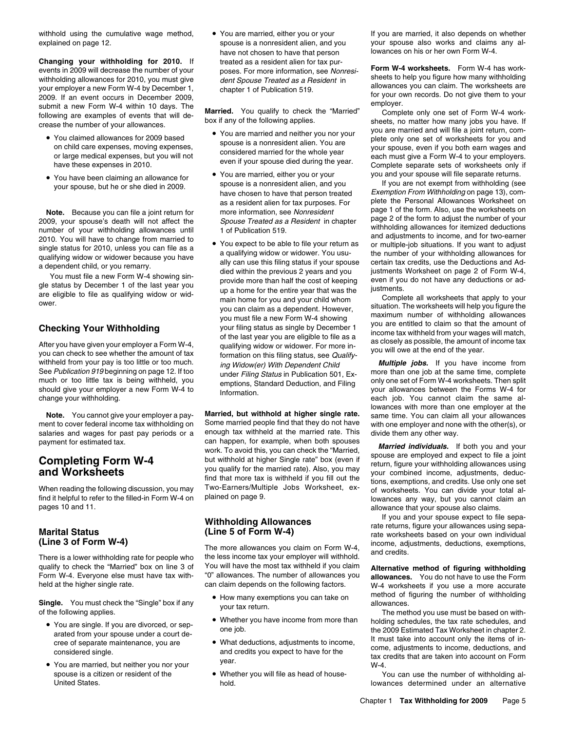withhold using the cumulative wage method, • You are married, either you or your If you are married, it also depends on whether

**Changing your withholding for 2010.** If treated as a resident alien for tax pur-<br>events in 2009 will decrease the number of your poses. For more information, see Non withholding allowances for 2010, you must give dent Spouse Treated as a Resident in sheets to help you figure how many withholding your employer a new Form W-4 by December 1, chapter 1 of Publication 519. vour employer a new Form W-4 by December 1, chapter 1 of Publication 519.<br>
2009. If an event occurs in December 2009,<br>
submit a new Form W-4 within 10 days. The employer.<br>
following are examples of events that will de-<br>
fo

- 
- 

See Publication 919 beginning on page 12. If too winder Filing Status in Publication 501, Ex- more than one job at the same time, complete in the much or too little tax is being withheld, you winder Filing Status in Public should give your employer a new Form w-4 to enformation. The example of the same al-<br>change your withholding. The same al-<br>each job. You cannot claim the same al-

ment to cover federal income tax withholding on Some married people find that they do not have with one employer and none with the other(s), or salaries and wages for past pay periods or a enough tax withheld at the marrie salaries and wages for past pay periods or a enough tax withheld at the married rate. This divide them any other way.<br>payment for estimated tax. can happen, for example, when both spouses

There is a lower withholding rate for people who

Single. You must check the "Single" box if any and the many exemptions you can take on **Single.** You must be based on with-<br>of the following applies. The method you use must be based on with-

- 
- You are married, but neither you nor your year. year. The same w-4.

have not chosen to have that person

- You claimed allows access for 2009 based<br/>\n• You are married and neither you nor your<br/>\n• you see is a nonresident alien. You are
- You are married, either you or your • You have been claiming an allowance for • You are married, either you or your you and your spouse will file separate returns.
- Single status for 2010, unless you can file as a<br>
single status for 2010, unless you can file as a<br>
a qualifying widow or widower because you have<br>
altighting widow or widower because you have<br>
altighting status if you res

ment for estimated tax.<br>
work. To avoid this, you can check the "Married, Married individuals. If both you and your<br>
work. To avoid this, you can check the "Married, Married individuals. If both you and your<br>
but withhold

qualify to check the "Married" box on line 3 of You will have the most tax withheld if you claim **Alternative method of figuring withholding**<br>Form W-4. Everyone else must have tax with- "0" allowances. The number of allowa

- 
- Whether you have income from more than
- 
- 

explained on page 12. spouse is a nonresident alien, and you your spouse also works and claims any al-<br>have not chosen to have that person lowances on his or her own Form W-4.

poses. For more information, see Nonresi-**Form W-4 worksheets.** Form W-4 has work-<br>dent Spouse Treated as a Besident in sheets to help you figure how many withholding

• You claimed allowances for 2009 based<br>on child care expenses, moving expenses,<br>or large medical expenses, but you will not<br>have these expenses in 2010.<br>have these expenses in 2010.<br>have these expenses in 2010.

your spouse, but he or she died in 2009.<br>
your spouse, but he or she died in 2009.<br>
as a resident alien for tax nurroses. For the personal Allowances Worksheet on as a resident alien for tax purposes. For plete the Personal Allowances Worksheet on<br>more information see Nonresident page 1 of the form. Also, use the worksheets on **Note.** Because you can file a joint return for the more information, see Nonresident and all the form. Also, use the worksheets on the sponse's death will not affect the sponse Treated as a Resident in chapter and adjustm

lowances with more than one employer at the **Note.** You cannot give your employer a pay-<br> **Married, but withhold at higher single rate.** Same and the value of the same time. You can claim all your allowances<br> **Note:** with one employer and none with the other(s), or

When reading the following discussion, you may<br>find it individe lobs Worksheet, ex-<br>find it helpful to refer to the filled-in Form W-4 on plained on page 9.<br>pages 10 and 11.<br>allowance that your spouse also claims. allowance that your spouse also claims.

If you and your spouse expect to file sepa- **Withholding Allowances** rate returns, figure your allowances using sepa- **Marital Status (Line 5 of Form W-4)** rate worksheets based on your own individual **(Line 3 of Form W-4)** income, adjustments, deductions, exemptions,<br>
The more allowances you claim on Form W-4, income, adjustments, deductions, exemptions,<br>
The more allowances you claim on Form W-4, and credits.<br>
There i

allowances. You do not have to use the Form held at the higher single rate. can claim depends on the following factors. W-4 worksheets if you use a more accurate • How many exemptions you can take on the method of figuring the number of withholding

• You are single. If you are diverges, or <br>one job. The product form your groups under a court de • You are single. If you are divorced, or separated from your spouse under a court de-<br>
arated from your spouse under a court de-<br>
cree of separate maintenance, you are<br>
considered single.<br>
COMES TRANG AND COMES IN THE 200

spouse is a citizen or resident of the • Whether you will file as head of house-<br>United States.<br>Iowances determined under an alternative hold. **Example 3the States States States** lowances determined under an alternative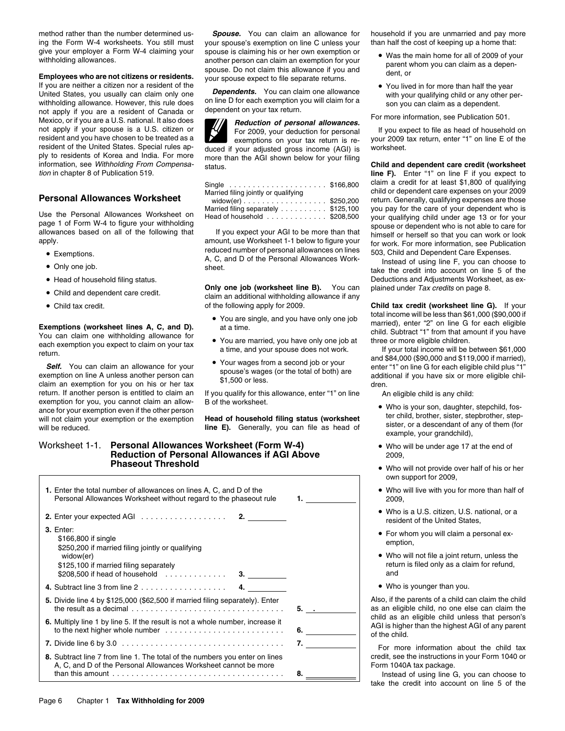method rather than the number determined us- *Spouse.* You can claim an allowance for household if you are unmarried and pay more ing the Form W-4 worksheets. You still must your spouse's exemption on line C unless your than half the cost of keeping up a home that: give your employer a Form W-4 claiming your spouse is claiming his or her own exemption or vous withholding allowances.<br>
withholding allowances. another person can claim an exemption for your person turbors you can claim a

If you are neither a citizen nor a resident of the<br>United States, you usually can claim only one **Dependents.** You can claim one allowance with your qualifying child or any other per-<br>withholding allowance. However, this r withholding allowance. However, this rule does<br>not apply if you are a resident of Canada or dependent on your tax return.<br>Mexico, or if you are a U.S. national. It also does<br>not apply if your spouse is a U.S. citizen or<br>no not apply if your spouse is a U.S. citizen or<br>resident and you have chosen to be treated as a exemptions on your tax return is re-<br>resident of the United States. Special rules ap-<br>resident of the United States. Special rul resident of the United States. Special rules ap-<br>ply to residents of Korea and India. For more more than the AGI shown below for your filing ply to residents of Korea and India. For more more than the AGI shown below for your filing<br>information, see Withholding From Compensa- status.<br>ine F). Enter "1" on line F if you expect to

- 
- 
- Head of household filing status.
- 
- Child tax credit.

**Exemptions (worksheet lines A, C, and D).** at a time.<br>
You can claim one withholding allowance for each exemption you expect to claim on your tax  $\bullet$  You are married, you have only one job at three or more eligible chil exact be the correlation of the correlation of the correlation of the correlation of the correlation of the te<br>each exemption you expect to claim on your tax a time, and your spouse does not work. If your total income will

return. If another person is entitled to claim an If you qualify for this allowance, enter "1" on line An eligible child is any child:<br>exemption for you, you cannot claim an allow-B of the worksheet. exemption for you, you cannot claim an allow-<br>ance for your exemption even if the other person<br>cance for your exemption even if the other person<br>cance for your exemption even if the other person

withholding allowances.<br>
withholding allowances.<br>
Employees who are not citizens or residents.<br>
Employees who are not citizens or residents.<br>
Solution of the separate returns.<br>
If you are neither a citizen nor a resident o

| Married filing jointly or qualifying               |  |
|----------------------------------------------------|--|
| widow(er) \$250,200                                |  |
| Married filing separately \$125,100                |  |
| Head of household $\ldots \ldots \ldots$ \$208.500 |  |

■ Exemptions. The state of the Personal allowances on lines and D of the Personal Allowances Work-<br>■ Chily one job. A, C, and D of the Personal Allowances Work-<br>■ Sheet. This account on line 5 of the • • • • • • • • • • •

**Only one job (worksheet line B).** You can **plant only one job (worksheet line B).** You can probabilize allow the plant of the set of the plant of the plant of the set of the set of the set of the set of the set of the set claim an additional withholding allowance if any

- 
- 
- 

### Worksheet 1-1. **Personal Allowances Worksheet (Form W-4)** • Who will be under age 17 at the end of **Reduction of Personal Allowances if AGI Above** 2009, **Phaseout Threshold** •

|                                                                                                                                                                                        |      | <b>OWIT SUPPORTION LOOP.</b>                                                                                                                                                                                                   |  |
|----------------------------------------------------------------------------------------------------------------------------------------------------------------------------------------|------|--------------------------------------------------------------------------------------------------------------------------------------------------------------------------------------------------------------------------------|--|
| 1. Enter the total number of allowances on lines A, C, and D of the<br>Personal Allowances Worksheet without regard to the phaseout rule                                               |      | • Who will live with you for more than half of<br>2009.                                                                                                                                                                        |  |
| 2. Enter your expected AGI $\ldots$ , 2.                                                                                                                                               |      | • Who is a U.S. citizen, U.S. national, or a<br>resident of the United States,                                                                                                                                                 |  |
| 3. Enter:<br>\$166,800 if single<br>\$250,200 if married filing jointly or qualifying                                                                                                  |      | • For whom you will claim a personal ex-<br>emption,                                                                                                                                                                           |  |
| widow(er)<br>\$125,100 if married filing separately<br>\$208,500 if head of household $\ldots \ldots \ldots \ldots$ 3.                                                                 |      | • Who will not file a joint return, unless the<br>return is filed only as a claim for refund,<br>and                                                                                                                           |  |
| 4. Subtract line 3 from line 2                                                                                                                                                         |      | • Who is younger than you.                                                                                                                                                                                                     |  |
| 5. Divide line 4 by \$125,000 (\$62,500 if married filing separately). Enter<br>the result as a decimal $\ldots \ldots \ldots \ldots \ldots \ldots \ldots \ldots \ldots \ldots \ldots$ | 5. . | Also, if the parents of a child can claim the child<br>as an eligible child, no one else can claim the<br>child as an eligible child unless that person's<br>AGI is higher than the highest AGI of any parent<br>of the child. |  |
| 6. Multiply line 1 by line 5. If the result is not a whole number, increase it                                                                                                         | 6.   |                                                                                                                                                                                                                                |  |
|                                                                                                                                                                                        |      | For more information about the child tax                                                                                                                                                                                       |  |
| 8. Subtract line 7 from line 1. The total of the numbers you enter on lines<br>A, C, and D of the Personal Allowances Worksheet cannot be more                                         |      | credit, see the instructions in your Form 1040 or<br>Form 1040A tax package.<br>Instead of using line G, you can choose to                                                                                                     |  |
|                                                                                                                                                                                        |      | toke the aredit into account on line $E$ of the                                                                                                                                                                                |  |

- 
- 

line F). Enter "1" on line F if you expect to claim a credit for at least \$1,800 of qualifying child or dependent care expenses on your 2009 **Personal Allowances Worksheet** widow(er) .................. \$250,200 return. Generally, qualifying expenses are those Use the Personal Allowances Worksheet on<br>
page 1 of Form W-4 to figure your withholding<br>
allowances based on all of the following that<br>
and form Wisselm and the pollowing that<br>
and the following that<br>
amount, use Worksheet

> take the credit into account on line 5 of the Deductions and Adjustments Worksheet, as ex-<br>plained under Tax credits on page 8.

 Child tax credit. of the following apply for 2009. **Child tax credit (worksheet line G).** If your total income will be less than \$61,000 (\$90,000 if •

**Self.** You can claim an allowance for your<br>exemption on line A unless another person can<br>claim an exemption for you on his or her tax<br>claim an exemption for you on his or her tax<br>claim an exemption for you on his or her

- ance for your exemption even if the other person<br>will not claim your exemption or the exemption<br>will be reduced. **EXECUTE:** Generally, you can file as head of<br>will be reduced. **EXECUTE:** Generally, you can file as head of
	-
	- Who will not provide over half of his or her own support for 2009,
	- Who will live with you for more than half of
	-
	-
	- Who will not file a joint return, unless the return is filed only as a claim for refund,
	- $\bullet$  Who is younger than you.

Instead of using line G, you can choose to take the credit into account on line 5 of the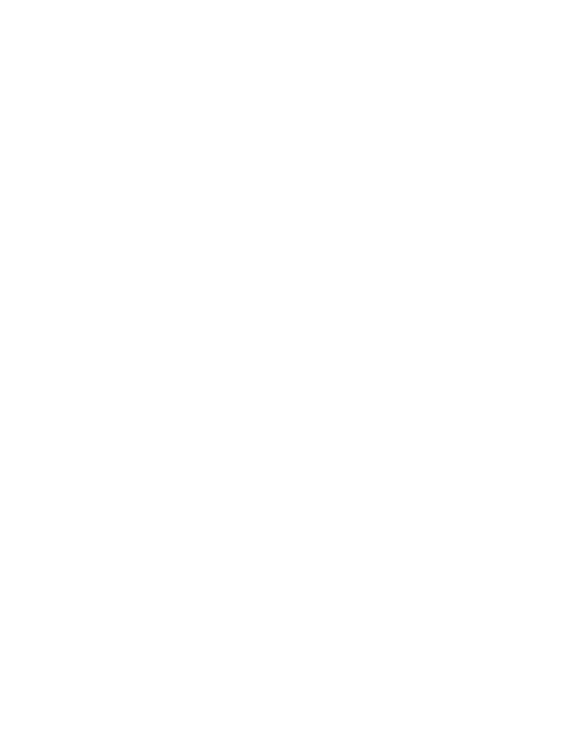

C N

 $\mathbf T$ Internal

Revenue Service

# Tax Withholding and Estimated Tax

This publication is referenced in an endnote at the Bradford Tax Institute. CLICK HERE to go to the home page.

| Get forms and other information<br>faster and easier by: |  |  |
|----------------------------------------------------------|--|--|
| Internet www.irs.gov                                     |  |  |

## **Contents**

| Introduction                        | 1        |
|-------------------------------------|----------|
| What's New for 2009                 | 2        |
| Reminders                           | 3        |
| Chapter                             |          |
| 1. Tax Withholding for 2009         | 4<br>4   |
| т                                   | 15       |
| т<br>P                              | 15<br>15 |
| PA                                  | 16<br>17 |
| UC                                  | 17       |
| P                                   | 17<br>17 |
| 2. Estimated Tax for 2009           | 19       |
| N TP                                |          |
| т<br>PТ                             | 19<br>19 |
| т<br>T.<br>TP T                     | 21<br>24 |
| TР                                  | 25       |
| TP T                                | 28<br>29 |
| с<br>т                              | 34<br>40 |
| 3. Credit for Withholding and       |          |
| Estimated Tax for 2008              | 50       |
| т                                   | 50<br>51 |
| т                                   |          |
|                                     | 52       |
| 4. Underpayment Penalty for<br>2008 | 54       |
|                                     | 54       |
| A                                   | 55       |
| PPI                                 | 56       |
| PPIII                               | 56       |
| PPI                                 | 57       |
| P                                   | 60<br>60 |
| с                                   | 68       |
| How To Get Tax Help<br>5.           | 70       |
| Index                               | 71       |
|                                     |          |

## Introduction

T.

- $\mathbf{r}$  $\mathbf{I}$  $\mathbf{I}$ 
	- п I.
	-